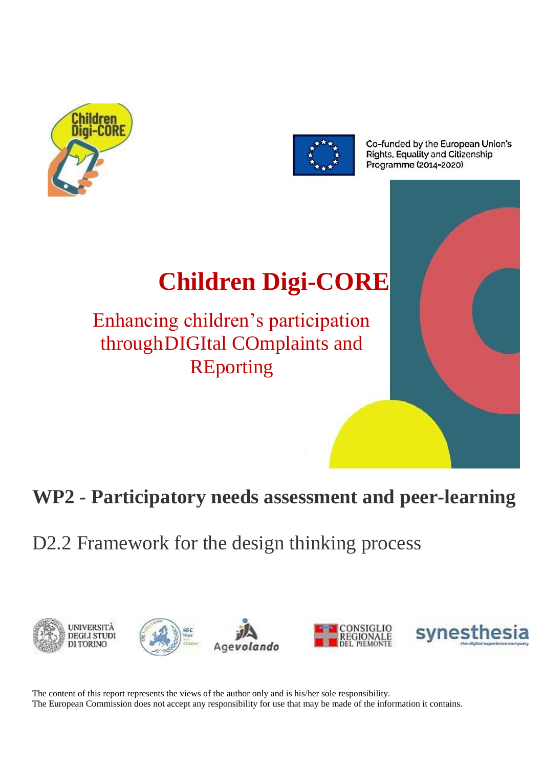



Co-funded by the European Union's Rights, Equality and Citizenship Programme (2014-2020)

# **Children Digi-CORE**

Enhancing children's participation throughDIGItal COmplaints and **REporting** 

# **WP2 - Participatory needs assessment and peer-learning**

D2.2 Framework for the design thinking process



The content of this report represents the views of the author only and is his/her sole responsibility. The European Commission does not accept any responsibility for use that may be made of the information it contains.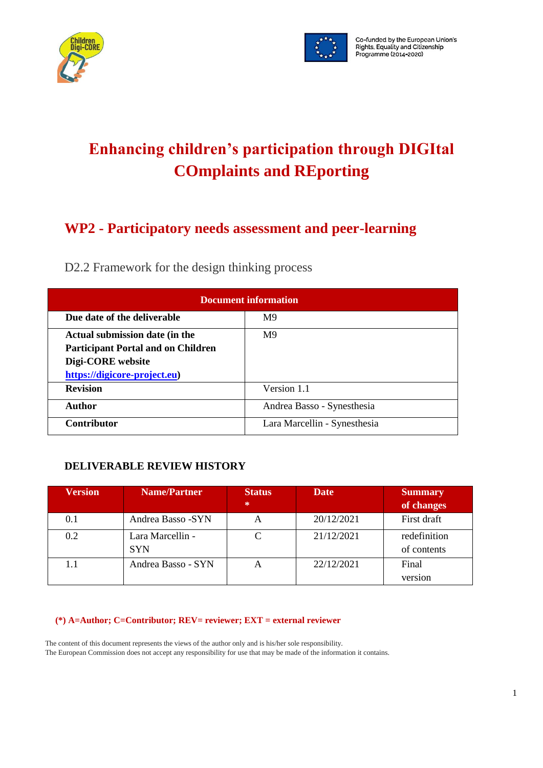



# **Enhancing children's participation through DIGItal COmplaints and REporting**

### **WP2 - Participatory needs assessment and peer-learning**

D2.2 Framework for the design thinking process

| <b>Document information</b>               |                              |  |
|-------------------------------------------|------------------------------|--|
| Due date of the deliverable               | M <sub>9</sub>               |  |
| Actual submission date (in the            | M <sup>9</sup>               |  |
| <b>Participant Portal and on Children</b> |                              |  |
| Digi-CORE website                         |                              |  |
| https://digicore-project.eu)              |                              |  |
| <b>Revision</b>                           | Version 1.1                  |  |
| <b>Author</b>                             | Andrea Basso - Synesthesia   |  |
| <b>Contributor</b>                        | Lara Marcellin - Synesthesia |  |

### **DELIVERABLE REVIEW HISTORY**

| <b>Version</b> | <b>Name/Partner</b> | <b>Status</b> | <b>Date</b> | <b>Summary</b> |
|----------------|---------------------|---------------|-------------|----------------|
|                |                     | 柴             |             | of changes     |
| 0.1            | Andrea Basso -SYN   |               | 20/12/2021  | First draft    |
| 0.2            | Lara Marcellin -    |               | 21/12/2021  | redefinition   |
|                | <b>SYN</b>          |               |             | of contents    |
| 1.1            | Andrea Basso - SYN  |               | 22/12/2021  | Final          |
|                |                     |               |             | version        |

#### **(\*) A=Author; C=Contributor; REV= reviewer; EXT = external reviewer**

The content of this document represents the views of the author only and is his/her sole responsibility. The European Commission does not accept any responsibility for use that may be made of the information it contains.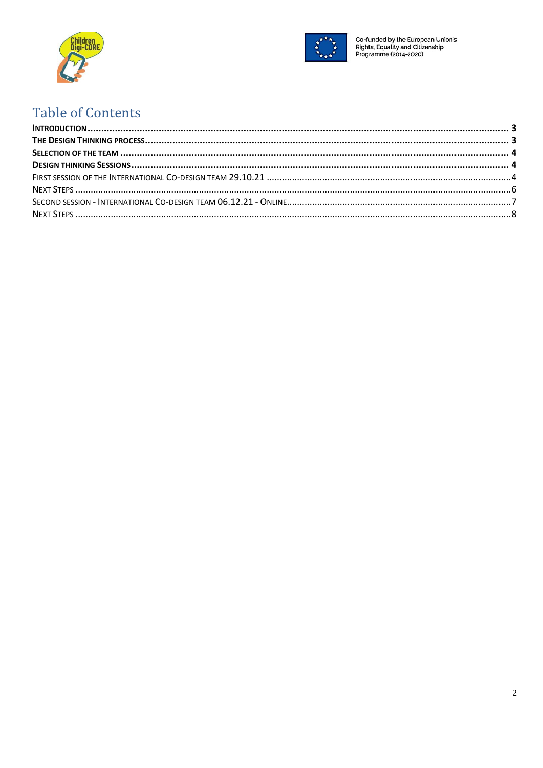



Co-funded by the European Union's<br>Rights, Equality and Citizenship<br>Programme (2014-2020)

## **Table of Contents**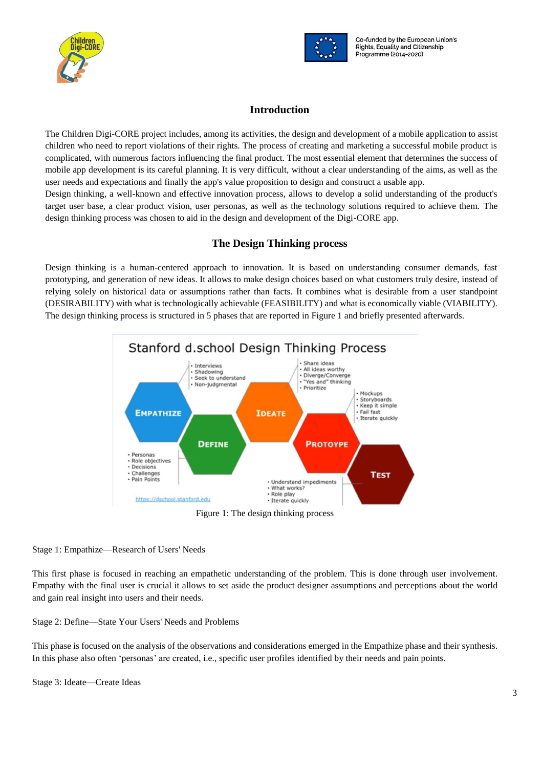



#### **Introduction**

<span id="page-3-0"></span>The Children Digi-CORE project includes, among its activities, the design and development of a mobile application to assist children who need to report violations of their rights. The process of creating and marketing a successful mobile product is complicated, with numerous factors influencing the final product. The most essential element that determines the success of mobile app development is its careful planning. It is very difficult, without a clear understanding of the aims, as well as the user needs and expectations and finally the app's value proposition to design and construct a usable app. Design thinking, a well-known and effective innovation process, allows to develop a solid understanding of the product's target user base, a clear product vision, user personas, as well as the technology solutions required to achieve them. The design thinking process was chosen to aid in the design and development of the Digi-CORE app.

#### **The Design Thinking process**

<span id="page-3-1"></span>Design thinking is a human-centered approach to innovation. It is based on understanding consumer demands, fast prototyping, and generation of new ideas. It allows to make design choices based on what customers truly desire, instead of relying solely on historical data or assumptions rather than facts. It combines what is desirable from a user standpoint (DESIRABILITY) with what is technologically achievable (FEASIBILITY) and what is economically viable (VIABILITY). The design thinking process is structured in 5 phases that are reported in Figure 1 and briefly presented afterwards.



Stage 1: Empathize—Research of Users' Needs

This first phase is focused in reaching an empathetic understanding of the problem. This is done through user involvement. Empathy with the final user is crucial it allows to set aside the product designer assumptions and perceptions about the world and gain real insight into users and their needs.

Stage 2: Define—State Your Users' Needs and Problems

This phase is focused on the analysis of the observations and considerations emerged in the Empathize phase and their synthesis. In this phase also often 'personas' are created, i.e., specific user profiles identified by their needs and pain points.

Stage 3: Ideate—Create Ideas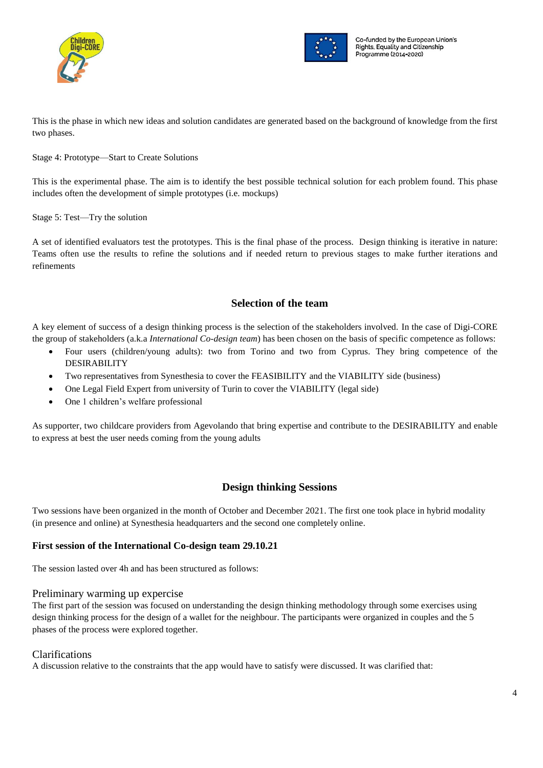



This is the phase in which new ideas and solution candidates are generated based on the background of knowledge from the first two phases.

#### Stage 4: Prototype—Start to Create Solutions

This is the experimental phase. The aim is to identify the best possible technical solution for each problem found. This phase includes often the development of simple prototypes (i.e. mockups)

Stage 5: Test—Try the solution

A set of identified evaluators test the prototypes. This is the final phase of the process. Design thinking is iterative in nature: Teams often use the results to refine the solutions and if needed return to previous stages to make further iterations and refinements

#### **Selection of the team**

<span id="page-4-0"></span>A key element of success of a design thinking process is the selection of the stakeholders involved. In the case of Digi-CORE the group of stakeholders (a.k.a *International Co-design team*) has been chosen on the basis of specific competence as follows:

- Four users (children/young adults): two from Torino and two from Cyprus. They bring competence of the DESIRABILITY
- Two representatives from Synesthesia to cover the FEASIBILITY and the VIABILITY side (business)
- One Legal Field Expert from university of Turin to cover the VIABILITY (legal side)
- One 1 children's welfare professional

As supporter, two childcare providers from Agevolando that bring expertise and contribute to the DESIRABILITY and enable to express at best the user needs coming from the young adults

#### **Design thinking Sessions**

<span id="page-4-1"></span>Two sessions have been organized in the month of October and December 2021. The first one took place in hybrid modality (in presence and online) at Synesthesia headquarters and the second one completely online.

#### <span id="page-4-2"></span>**First session of the International Co-design team 29.10.21**

The session lasted over 4h and has been structured as follows:

#### Preliminary warming up expercise

The first part of the session was focused on understanding the design thinking methodology through some exercises using design thinking process for the design of a wallet for the neighbour. The participants were organized in couples and the 5 phases of the process were explored together.

#### Clarifications

A discussion relative to the constraints that the app would have to satisfy were discussed. It was clarified that: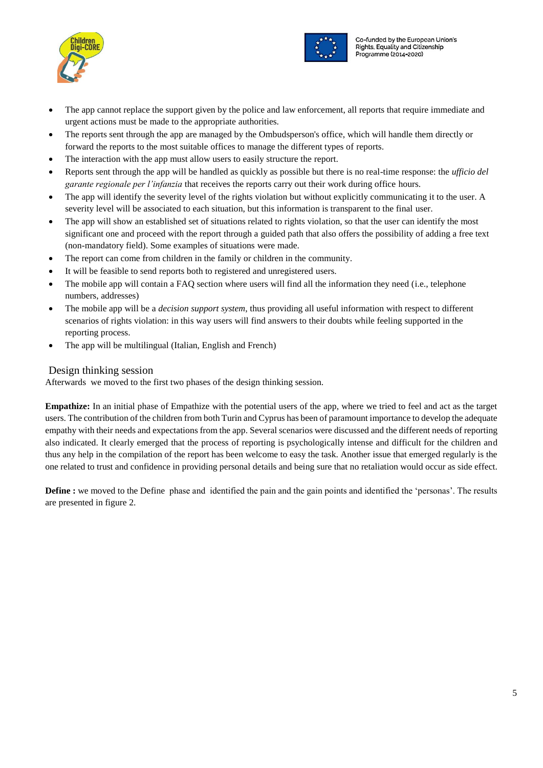



- The app cannot replace the support given by the police and law enforcement, all reports that require immediate and urgent actions must be made to the appropriate authorities.
- The reports sent through the app are managed by the Ombudsperson's office, which will handle them directly or forward the reports to the most suitable offices to manage the different types of reports.
- The interaction with the app must allow users to easily structure the report.
- Reports sent through the app will be handled as quickly as possible but there is no real-time response: the *ufficio del garante regionale per l'infanzia* that receives the reports carry out their work during office hours.
- The app will identify the severity level of the rights violation but without explicitly communicating it to the user. A severity level will be associated to each situation, but this information is transparent to the final user.
- The app will show an established set of situations related to rights violation, so that the user can identify the most significant one and proceed with the report through a guided path that also offers the possibility of adding a free text (non-mandatory field). Some examples of situations were made.
- The report can come from children in the family or children in the community.
- It will be feasible to send reports both to registered and unregistered users.
- The mobile app will contain a FAQ section where users will find all the information they need (i.e., telephone numbers, addresses)
- The mobile app will be a *decision support system*, thus providing all useful information with respect to different scenarios of rights violation: in this way users will find answers to their doubts while feeling supported in the reporting process.
- The app will be multilingual (Italian, English and French)

#### Design thinking session

Afterwards we moved to the first two phases of the design thinking session.

**Empathize:** In an initial phase of Empathize with the potential users of the app, where we tried to feel and act as the target users. The contribution of the children from both Turin and Cyprus has been of paramount importance to develop the adequate empathy with their needs and expectations from the app. Several scenarios were discussed and the different needs of reporting also indicated. It clearly emerged that the process of reporting is psychologically intense and difficult for the children and thus any help in the compilation of the report has been welcome to easy the task. Another issue that emerged regularly is the one related to trust and confidence in providing personal details and being sure that no retaliation would occur as side effect.

**Define** : we moved to the Define phase and identified the pain and the gain points and identified the 'personas'. The results are presented in figure 2.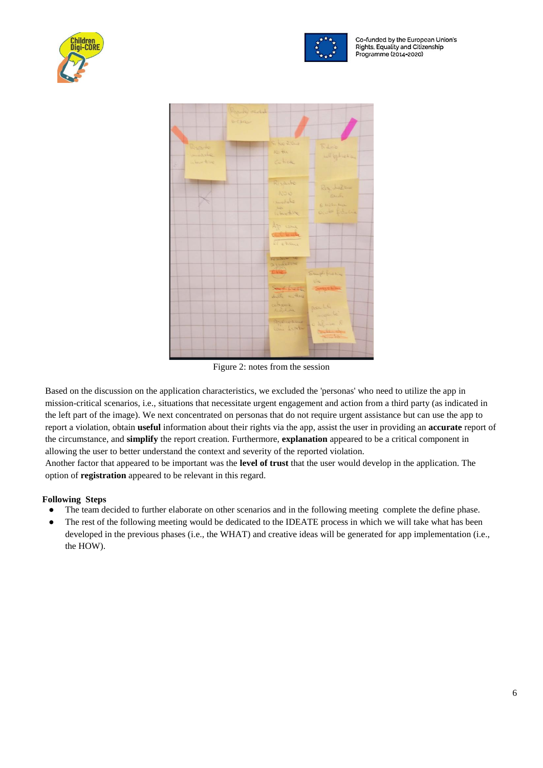



Co-funded by the European Union's Rights, Equality and Citizenship Programme (2014-2020)



Figure 2: notes from the session

Based on the discussion on the application characteristics, we excluded the 'personas' who need to utilize the app in mission-critical scenarios, i.e., situations that necessitate urgent engagement and action from a third party (as indicated in the left part of the image). We next concentrated on personas that do not require urgent assistance but can use the app to report a violation, obtain **useful** information about their rights via the app, assist the user in providing an **accurate** report of the circumstance, and **simplify** the report creation. Furthermore, **explanation** appeared to be a critical component in allowing the user to better understand the context and severity of the reported violation.

Another factor that appeared to be important was the **level of trust** that the user would develop in the application. The option of **registration** appeared to be relevant in this regard.

#### <span id="page-6-0"></span>**Following Steps**

- The team decided to further elaborate on other scenarios and in the following meeting complete the define phase.
- The rest of the following meeting would be dedicated to the IDEATE process in which we will take what has been developed in the previous phases (i.e., the WHAT) and creative ideas will be generated for app implementation (i.e., the HOW).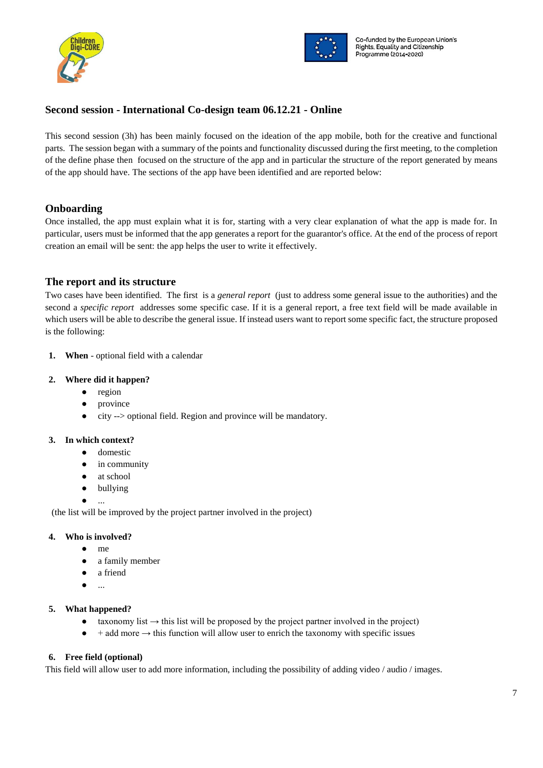



#### <span id="page-7-0"></span>**Second session - International Co-design team 06.12.21 - Online**

This second session (3h) has been mainly focused on the ideation of the app mobile, both for the creative and functional parts. The session began with a summary of the points and functionality discussed during the first meeting, to the completion of the define phase then focused on the structure of the app and in particular the structure of the report generated by means of the app should have. The sections of the app have been identified and are reported below:

#### **Onboarding**

Once installed, the app must explain what it is for, starting with a very clear explanation of what the app is made for. In particular, users must be informed that the app generates a report for the guarantor's office. At the end of the process of report creation an email will be sent: the app helps the user to write it effectively.

#### **The report and its structure**

Two cases have been identified. The first is a *general report* (just to address some general issue to the authorities) and the second a *specific report* addresses some specific case. If it is a general report, a free text field will be made available in which users will be able to describe the general issue. If instead users want to report some specific fact, the structure proposed is the following:

**1. When** - optional field with a calendar

#### **2. Where did it happen?**

- region
- province
- city --> optional field. Region and province will be mandatory.

#### **3. In which context?**

- domestic
- in community
- at school
- bullying
- ...

(the list will be improved by the project partner involved in the project)

#### **4. Who is involved?**

- me
- a family member
- a friend
- ...

#### **5. What happened?**

- $\bullet$  taxonomy list  $\rightarrow$  this list will be proposed by the project partner involved in the project)
- $+$  add more  $\rightarrow$  this function will allow user to enrich the taxonomy with specific issues

#### **6. Free field (optional)**

This field will allow user to add more information, including the possibility of adding video / audio / images.